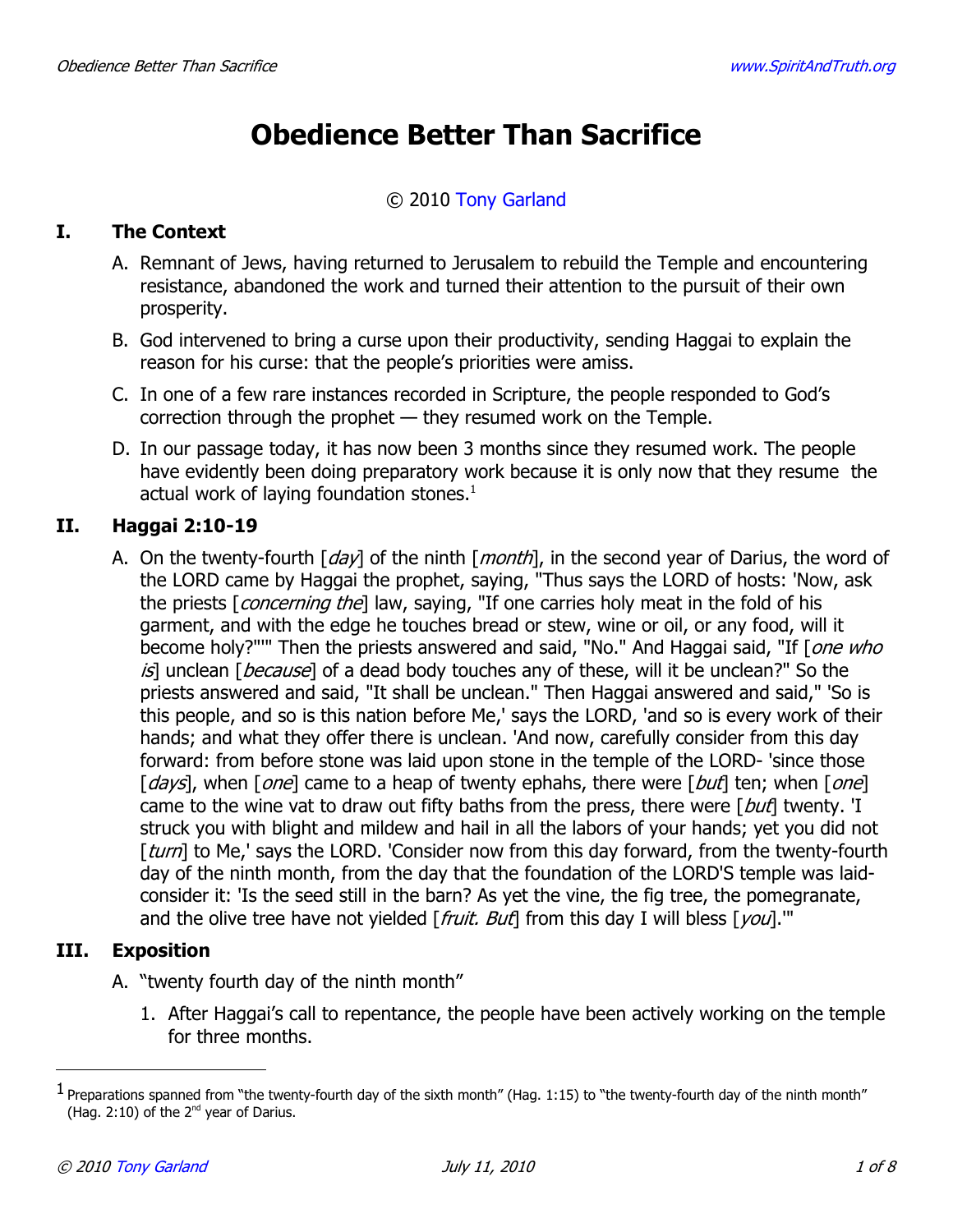# **Obedience Better Than Sacrifice**

#### © 2010 Tony Garland

## **I.** The Context

- A. Remnant of Jews, having returned to Jerusalem to rebuild the Temple and encountering resistance, abandoned the work and turned their attention to the pursuit of their own prosperity.
- B. God intervened to bring a curse upon their productivity, sending Haggai to explain the reason for his curse: that the people's priorities were amiss.
- C. In one of a few rare instances recorded in Scripture, the people responded to God's correction through the prophet — they resumed work on the Temple.
- D. In our passage today, it has now been 3 months since they resumed work. The people have evidently been doing preparatory work because it is only now that they resume the actual work of laying foundation stones. $<sup>1</sup>$ </sup>

### **II.** Haggai 2:10-19

A. On the twenty-fourth  $\left[$  day] of the ninth  $\left[$  month], in the second year of Darius, the word of the LORD came by Haggai the prophet, saying, "Thus says the LORD of hosts: 'Now, ask the priests [*concerning the*] law, saying, "If one carries holy meat in the fold of his garment, and with the edge he touches bread or stew, wine or oil, or any food, will it become holy?""" Then the priests answered and said, "No." And Haggai said, "If [one who is] unclean [*because*] of a dead body touches any of these, will it be unclean?" So the priests answered and said, "It shall be unclean." Then Haggai answered and said," 'So is this people, and so is this nation before Me,' says the LORD, 'and so is every work of their hands; and what they offer there is unclean. 'And now, carefully consider from this day forward: from before stone was laid upon stone in the temple of the LORD- 'since those [days], when [one] came to a heap of twenty ephahs, there were [but] ten; when [one] came to the wine vat to draw out fifty baths from the press, there were  $[but]$  twenty. 'I struck you with blight and mildew and hail in all the labors of your hands; yet you did not [turn] to Me,' says the LORD. 'Consider now from this day forward, from the twenty-fourth day of the ninth month, from the day that the foundation of the LORD'S temple was laidconsider it: 'Is the seed still in the barn? As yet the vine, the fig tree, the pomegranate, and the olive tree have not yielded  $[$  *fruit. But* from this day I will bless  $[$  *you*]."

### III. Exposition

- A. "twenty fourth day of the ninth month"
	- 1. After Haggai's call to repentance, the people have been actively working on the temple for three months.

 $^1$  Preparations spanned from "the twenty-fourth day of the sixth month" (Hag. 1:15) to "the twenty-fourth day of the ninth month" (Hag. 2:10) of the  $2^{nd}$  year of Darius.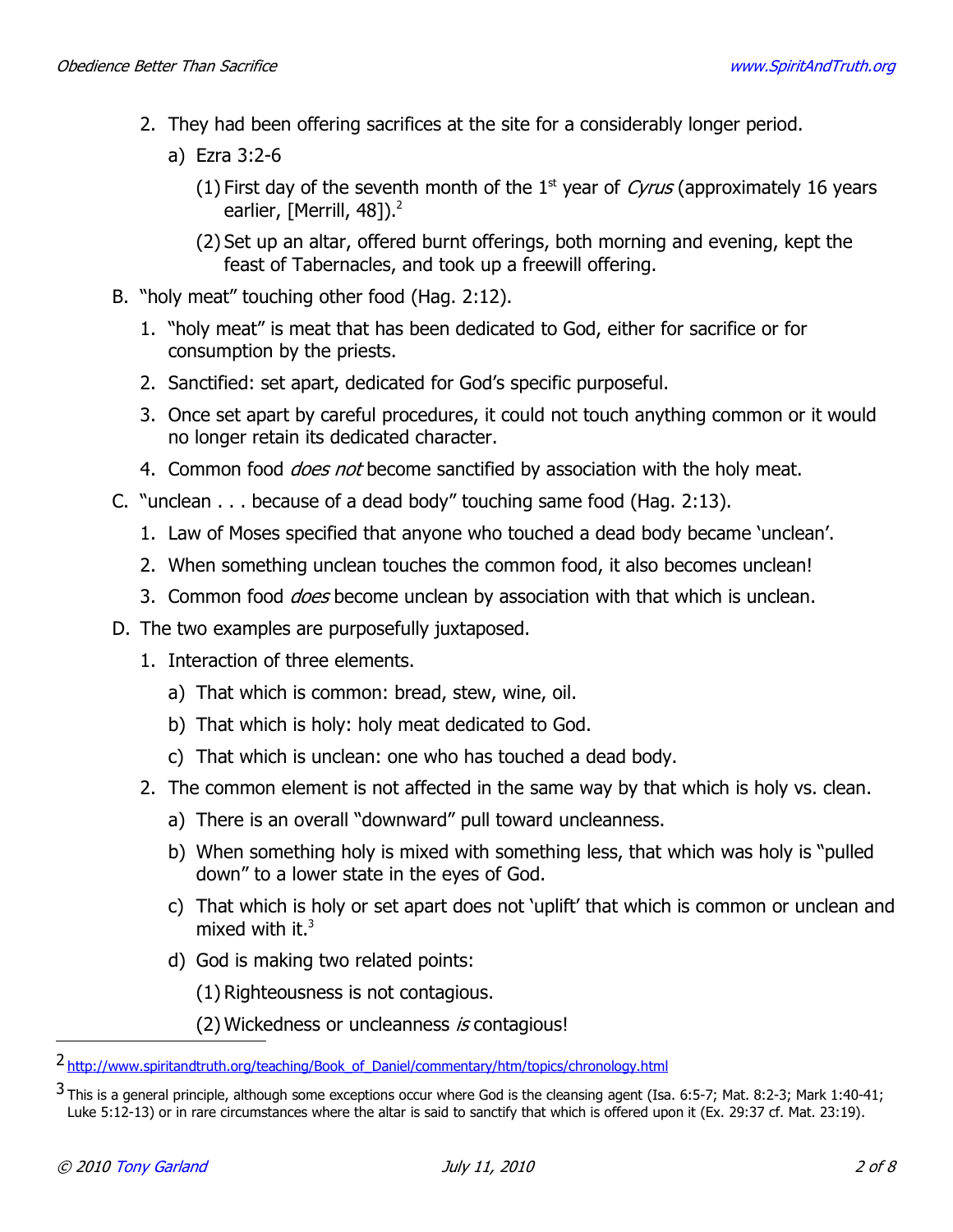- 2. They had been offering sacrifices at the site for a considerably longer period.
	- a) Ezra 3:2-6
		- (1) First day of the seventh month of the  $1<sup>st</sup>$  year of *Cyrus* (approximately 16 years earlier, [Merrill,  $48$ ]).<sup>2</sup>
		- (2) Set up an altar, offered burnt offerings, both morning and evening, kept the feast of Tabernacles, and took up a freewill offering.
- B. "holy meat" touching other food (Hag. 2:12).
	- 1. "holy meat" is meat that has been dedicated to God, either for sacrifice or for consumption by the priests.
	- 2. Sanctified: set apart, dedicated for God's specific purposeful.
	- 3. Once set apart by careful procedures, it could not touch anything common or it would no longer retain its dedicated character.
	- 4. Common food *does not* become sanctified by association with the holy meat.
- C. "unclean . . . because of a dead body" touching same food (Hag. 2:13).
	- 1. Law of Moses specified that anyone who touched a dead body became 'unclean'.
	- 2. When something unclean touches the common food, it also becomes unclean!
	- 3. Common food *does* become unclean by association with that which is unclean.
- D. The two examples are purposefully juxtaposed.
	- 1. Interaction of three elements.
		- a) That which is common: bread, stew, wine, oil.
		- b) That which is holy: holy meat dedicated to God.
		- c) That which is unclean: one who has touched a dead body.
	- 2. The common element is not affected in the same way by that which is holy vs. clean.
		- a) There is an overall "downward" pull toward uncleanness.
		- b) When something holy is mixed with something less, that which was holy is "pulled down" to a lower state in the eyes of God.
		- c) That which is holy or set apart does not 'uplift' that which is common or unclean and mixed with it. $3$
		- d) God is making two related points:

(1) Righteousness is not contagious.

(2) Wickedness or uncleanness is contagious!

<sup>2</sup> http://www.spiritandtruth.org/teaching/Book\_of\_Daniel/commentary/htm/topics/chronology.html

 $3$  This is a general principle, although some exceptions occur where God is the cleansing agent (Isa. 6:5-7; Mat. 8:2-3; Mark 1:40-41; Luke 5:12-13) or in rare circumstances where the altar is said to sanctify that which is offered upon it (Ex. 29:37 cf. Mat. 23:19).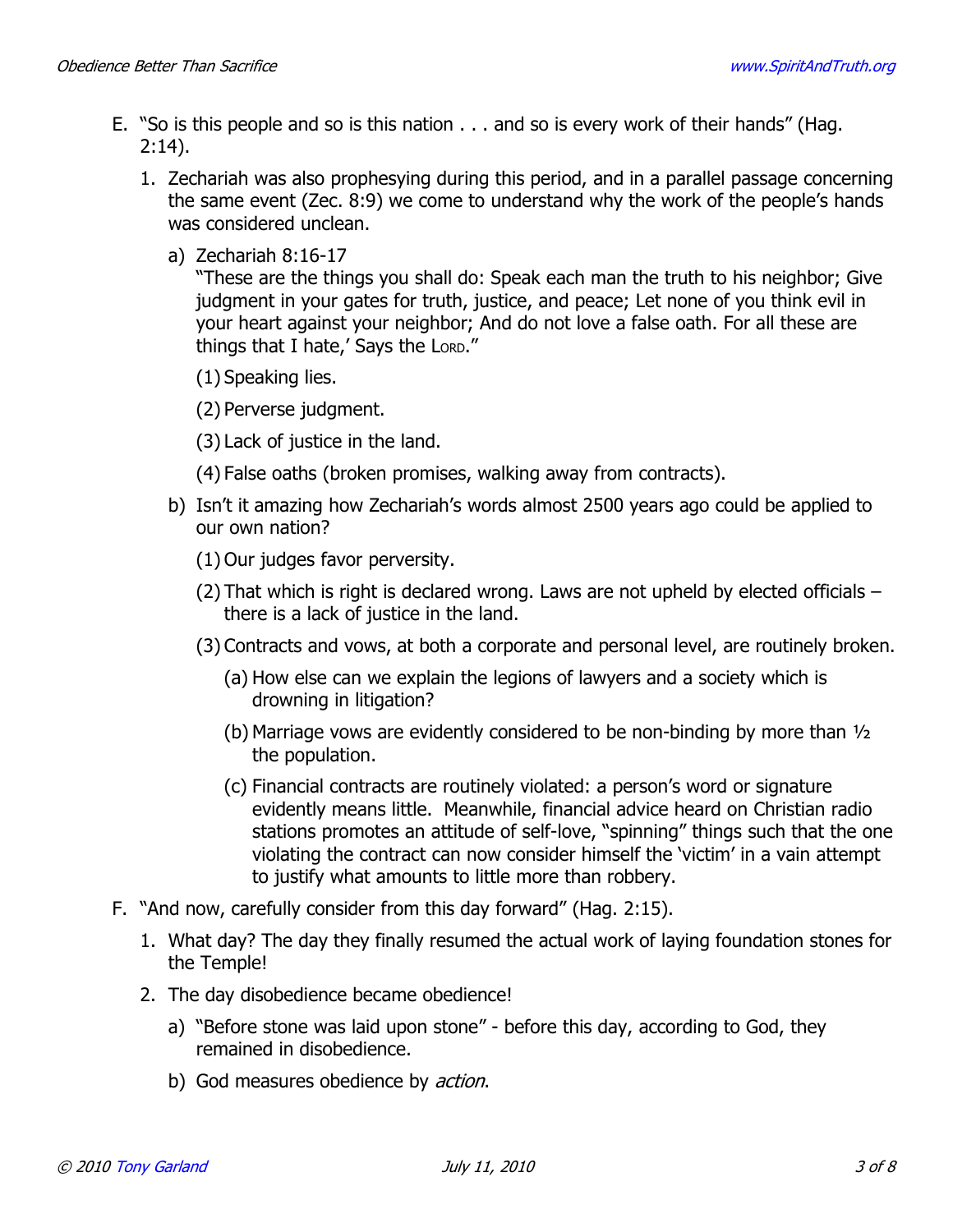- E. "So is this people and so is this nation . . . and so is every work of their hands" (Hag. 2:14).
	- 1. Zechariah was also prophesying during this period, and in a parallel passage concerning the same event (Zec. 8:9) we come to understand why the work of the people's hands was considered unclean.
		- a) Zechariah  $8:16-17$

"These are the things you shall do: Speak each man the truth to his neighbor; Give judgment in your gates for truth, justice, and peace; Let none of you think evil in your heart against your neighbor; And do not love a false oath. For all these are things that I hate,' Says the LORD."

- (1) Speaking lies.
- (2) Perverse judgment.
- (3) Lack of justice in the land.
- (4) False oaths (broken promises, walking away from contracts).
- b) Isn't it amazing how Zechariah's words almost 2500 years ago could be applied to our own nation?
	- (1) Our judges favor perversity.
	- (2) That which is right is declared wrong. Laws are not upheld by elected officials there is a lack of justice in the land.
	- (3) Contracts and vows, at both a corporate and personal level, are routinely broken.
		- (a) How else can we explain the legions of lawyers and a society which is drowning in litigation?
		- (b) Marriage vows are evidently considered to be non-binding by more than  $1/2$ the population.
		- (c) Financial contracts are routinely violated: a person's word or signature evidently means little. Meanwhile, financial advice heard on Christian radio stations promotes an attitude of self-love, "spinning" things such that the one violating the contract can now consider himself the 'victim' in a vain attempt to justify what amounts to little more than robbery.
- F. "And now, carefully consider from this day forward" (Hag. 2:15).
	- 1. What day? The day they finally resumed the actual work of laying foundation stones for the Temple!
	- 2. The day disobedience became obedience!
		- a) "Before stone was laid upon stone" before this day, according to God, they remained in disobedience.
		- b) God measures obedience by *action*.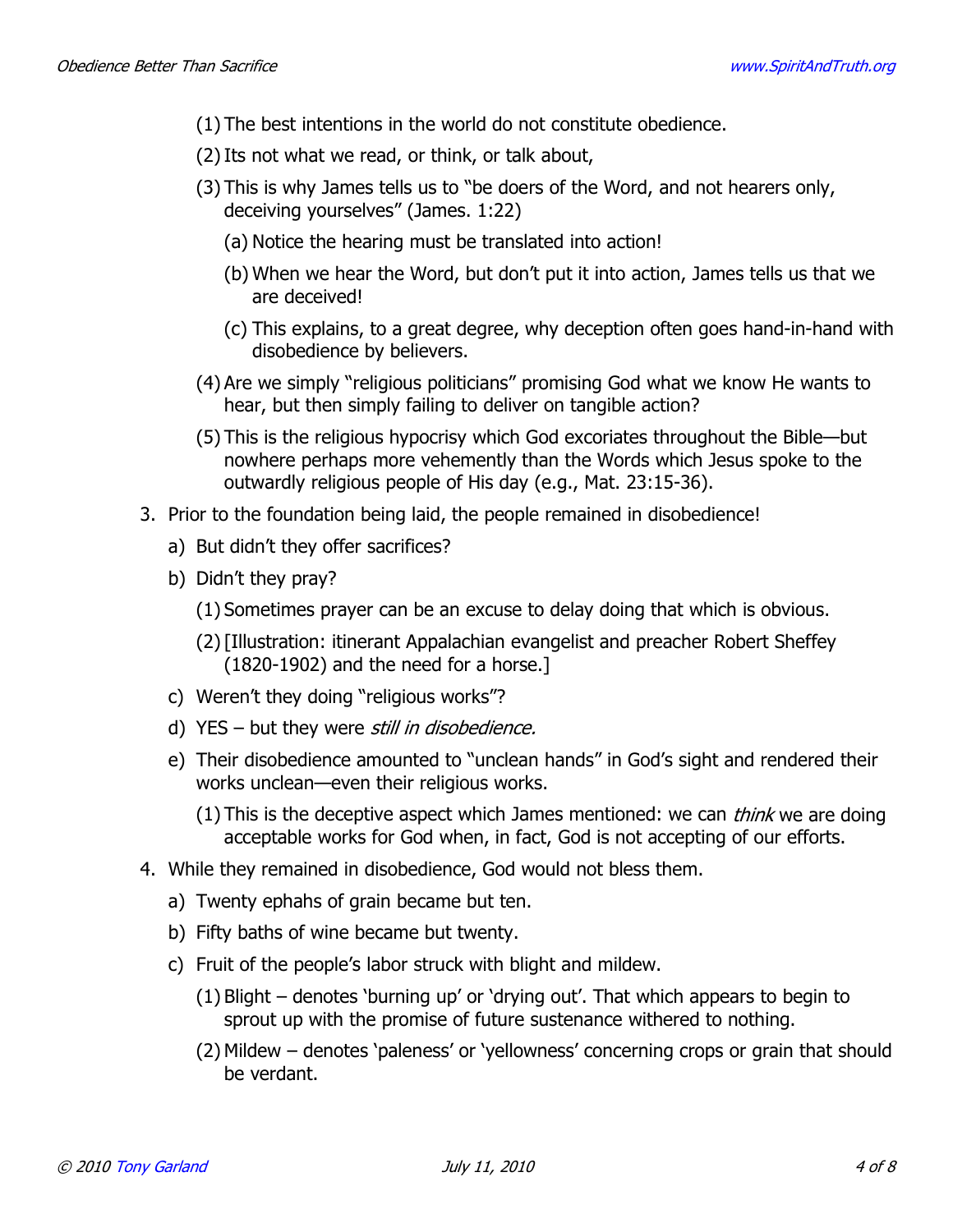- (1) The best intentions in the world do not constitute obedience.
- (2) Its not what we read, or think, or talk about,
- (3) This is why James tells us to "be doers of the Word, and not hearers only, deceiving yourselves" (James. 1:22)
	- (a) Notice the hearing must be translated into action!
	- (b) When we hear the Word, but don't put it into action, James tells us that we are deceived!
	- (c) This explains, to a great degree, why deception often goes hand-in-hand with disobedience by believers.
- (4) Are we simply "religious politicians" promising God what we know He wants to hear, but then simply failing to deliver on tangible action?
- (5) This is the religious hypocrisy which God excoriates throughout the Bible—but nowhere perhaps more vehemently than the Words which Jesus spoke to the outwardly religious people of His day (e.g., Mat. 23:15-36).
- 3. Prior to the foundation being laid, the people remained in disobedience!
	- a) But didn't they offer sacrifices?
	- b) Didn't they pray?
		- (1) Sometimes prayer can be an excuse to delay doing that which is obvious.
		- (2) [Illustration: itinerant Appalachian evangelist and preacher Robert Sheffey  $(1820-1902)$  and the need for a horse.]
	- c) Weren't they doing "religious works"?
	- d) YES but they were *still in disobedience.*
	- e) Their disobedience amounted to "unclean hands" in God's sight and rendered their works unclean—even their religious works.
		- (1) This is the deceptive aspect which James mentioned: we can *think* we are doing acceptable works for God when, in fact, God is not accepting of our efforts.
- 4. While they remained in disobedience, God would not bless them.
	- a) Twenty ephahs of grain became but ten.
	- b) Fifty baths of wine became but twenty.
	- c) Fruit of the people's labor struck with blight and mildew.
		- (1) Blight denotes 'burning up' or 'drying out'. That which appears to begin to sprout up with the promise of future sustenance withered to nothing.
		- (2) Mildew denotes 'paleness' or 'yellowness' concerning crops or grain that should be verdant.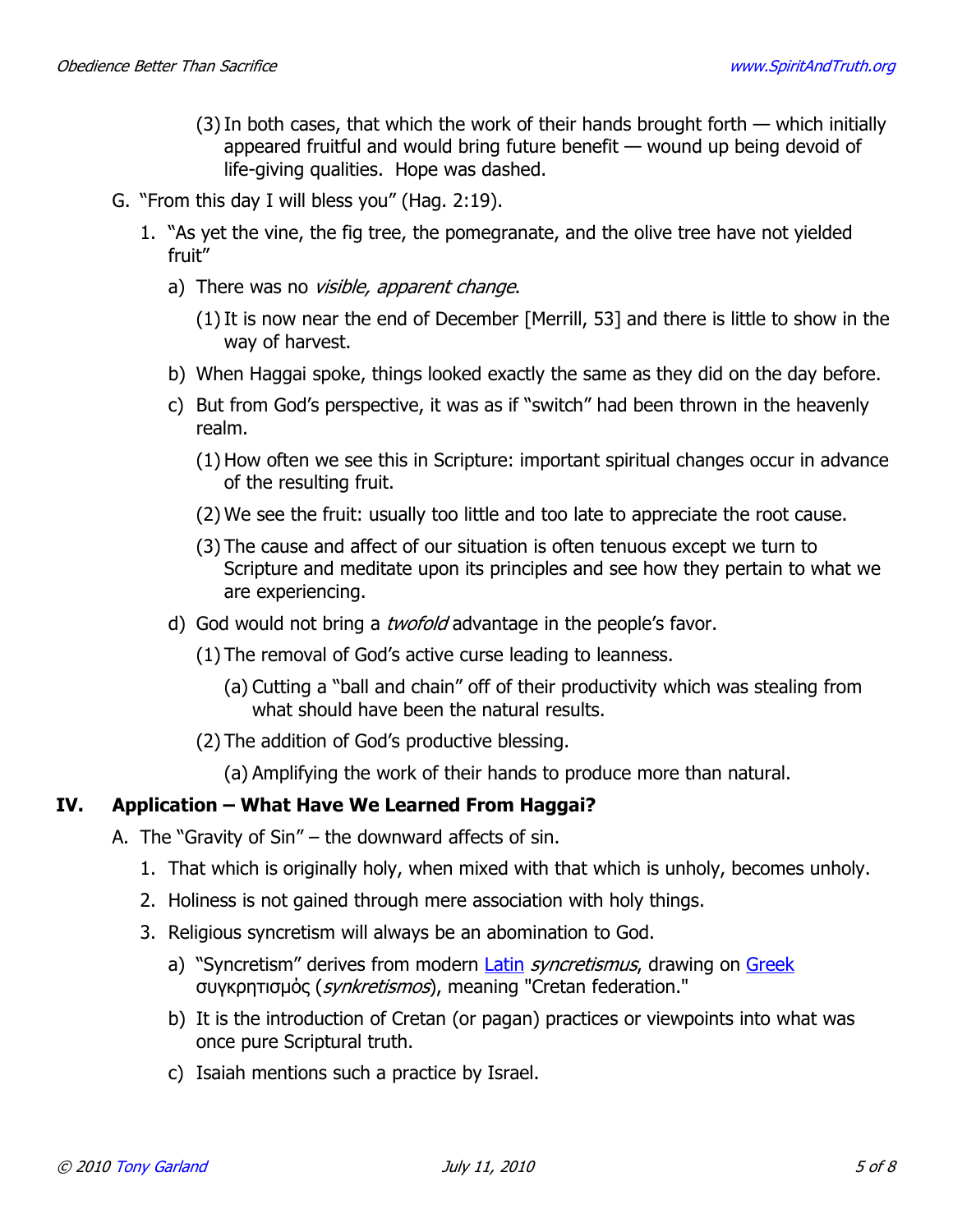- (3) In both cases, that which the work of their hands brought forth which initially appeared fruitful and would bring future benefit — wound up being devoid of life-giving qualities. Hope was dashed.
- G. "From this day I will bless you" (Hag. 2:19).
	- 1. "As yet the vine, the fig tree, the pomegranate, and the olive tree have not yielded fruit"
		- a) There was no *visible, apparent change*.
			- (1) It is now near the end of December [Merrill, 53] and there is little to show in the way of harvest.
		- b) When Haggai spoke, things looked exactly the same as they did on the day before.
		- c) But from God's perspective, it was as if "switch" had been thrown in the heavenly realm.
			- (1) How often we see this in Scripture: important spiritual changes occur in advance of the resulting fruit.
			- (2) We see the fruit: usually too little and too late to appreciate the root cause.
			- (3) The cause and affect of our situation is often tenuous except we turn to Scripture and meditate upon its principles and see how they pertain to what we are experiencing.
		- d) God would not bring a *twofold* advantage in the people's favor.
			- (1) The removal of God's active curse leading to leanness.
				- (a) Cutting a "ball and chain" off of their productivity which was stealing from what should have been the natural results.
			- (2) The addition of God's productive blessing.
				- (a) Amplifying the work of their hands to produce more than natural.

### **IV.** Application – What Have We Learned From Haggai?

- A. The "Gravity of Sin" the downward affects of sin.
	- 1. That which is originally holy, when mixed with that which is unholy, becomes unholy.
	- 2. Holiness is not gained through mere association with holy things.
	- 3. Religious syncretism will always be an abomination to God.
		- a) "Syncretism" derives from modern Latin *syncretismus*, drawing on Greek συγκρητισμός (*synkretismos*), meaning "Cretan federation."
		- b) It is the introduction of Cretan (or pagan) practices or viewpoints into what was once pure Scriptural truth.
		- c) Isaiah mentions such a practice by Israel.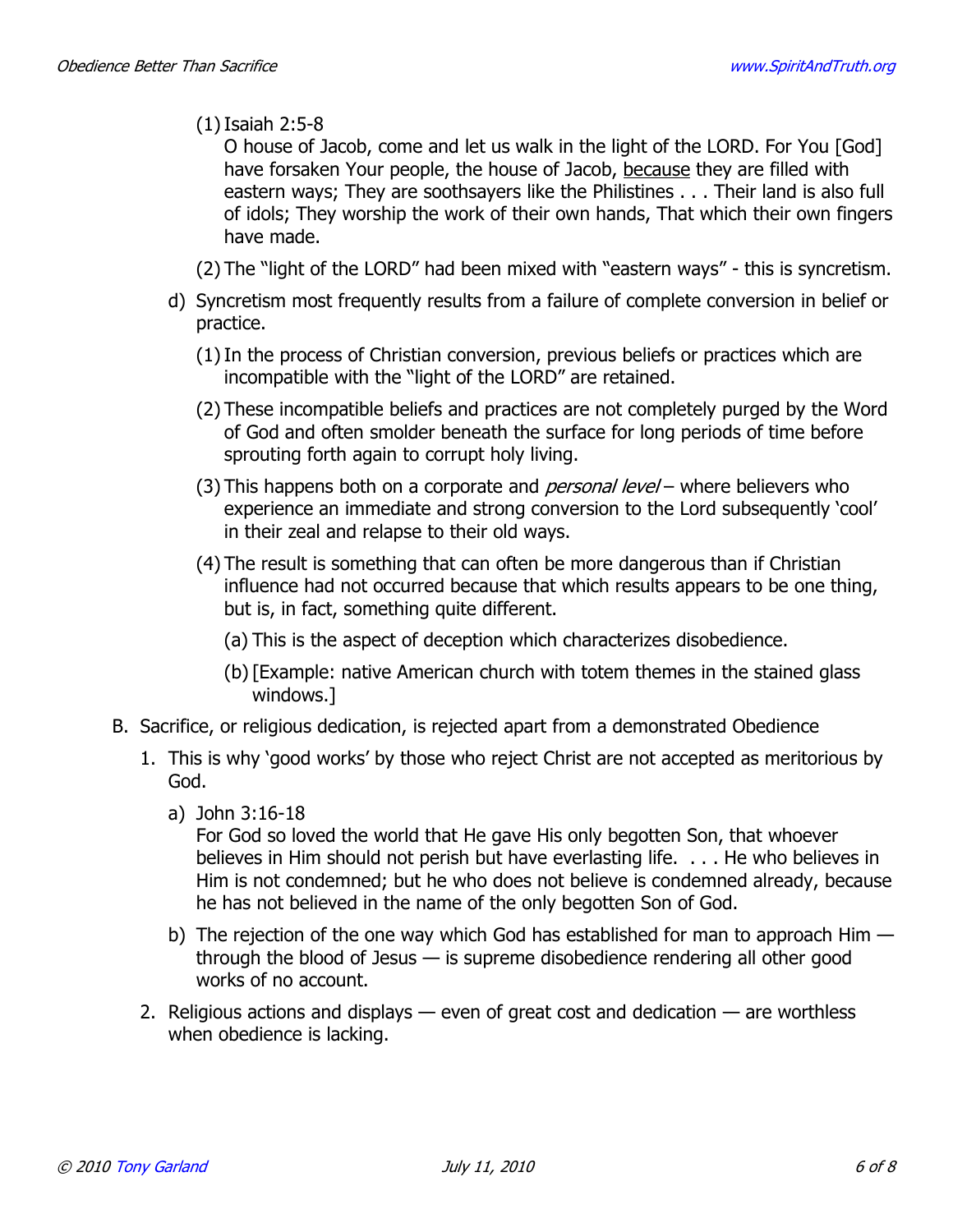# (1) Isaiah 2:5/8

O house of Jacob, come and let us walk in the light of the LORD. For You [God] have forsaken Your people, the house of Jacob, because they are filled with eastern ways; They are soothsayers like the Philistines . . . Their land is also full of idols; They worship the work of their own hands, That which their own fingers have made.

- $(2)$  The "light of the LORD" had been mixed with "eastern ways" this is syncretism.
- d) Syncretism most frequently results from a failure of complete conversion in belief or practice.
	- (1) In the process of Christian conversion, previous beliefs or practices which are incompatible with the "light of the LORD" are retained.
	- (2) These incompatible beliefs and practices are not completely purged by the Word of God and often smolder beneath the surface for long periods of time before sprouting forth again to corrupt holy living.
	- (3) This happens both on a corporate and *personal level* where believers who experience an immediate and strong conversion to the Lord subsequently 'cool' in their zeal and relapse to their old ways.
	- (4) The result is something that can often be more dangerous than if Christian influence had not occurred because that which results appears to be one thing, but is, in fact, something quite different.
		- (a) This is the aspect of deception which characterizes disobedience.
		- (b) [Example: native American church with totem themes in the stained glass windows.]
- B. Sacrifice, or religious dedication, is rejected apart from a demonstrated Obedience
	- 1. This is why 'good works' by those who reject Christ are not accepted as meritorious by God.
		- a) John 3:16-18

For God so loved the world that He gave His only begotten Son, that whoever believes in Him should not perish but have everlasting life. . . . He who believes in Him is not condemned; but he who does not believe is condemned already, because he has not believed in the name of the only begotten Son of God.

- b) The rejection of the one way which God has established for man to approach Him through the blood of Jesus — is supreme disobedience rendering all other good works of no account.
- 2. Religious actions and displays  $-$  even of great cost and dedication  $-$  are worthless when obedience is lacking.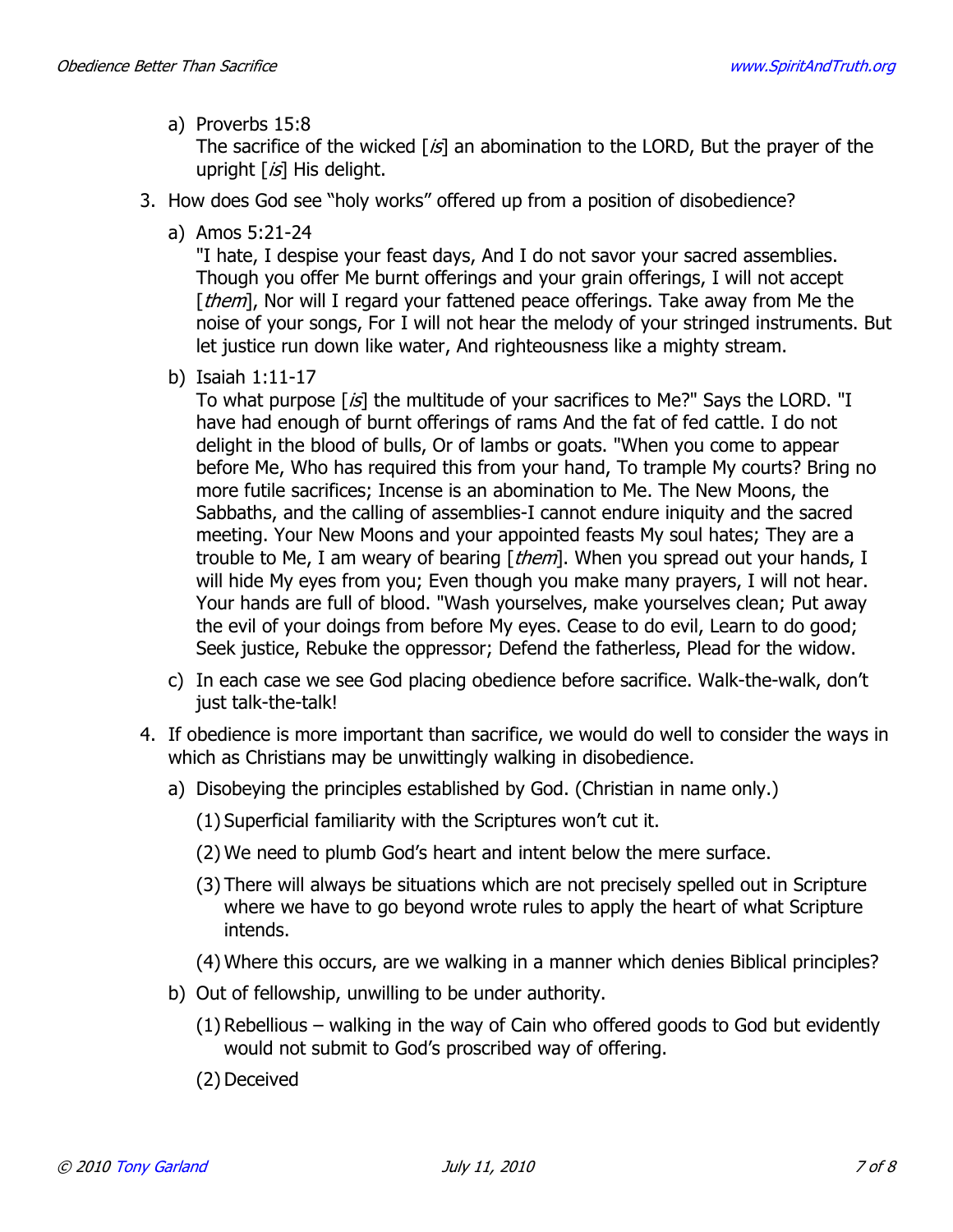#### a) Proverbs 15:8

The sacrifice of the wicked  $[s]$  an abomination to the LORD, But the prayer of the upright  $[\,is]\,$  His delight.

- 3. How does God see "holy works" offered up from a position of disobedience?
	- a) Amos  $5:21-24$

"I hate, I despise your feast days, And I do not savor your sacred assemblies. Though you offer Me burnt offerings and your grain offerings, I will not accept [*them*], Nor will I regard your fattened peace offerings. Take away from Me the noise of your songs, For I will not hear the melody of your stringed instruments. But let justice run down like water, And righteousness like a mighty stream.

b) Isaiah 1:11-17

To what purpose  $[s]$  the multitude of your sacrifices to Me?" Says the LORD. "I have had enough of burnt offerings of rams And the fat of fed cattle. I do not delight in the blood of bulls, Or of lambs or goats. "When you come to appear before Me, Who has required this from your hand, To trample My courts? Bring no more futile sacrifices; Incense is an abomination to Me. The New Moons, the Sabbaths, and the calling of assemblies-I cannot endure iniquity and the sacred meeting. Your New Moons and your appointed feasts My soul hates; They are a trouble to Me, I am weary of bearing [them]. When you spread out your hands, I will hide My eyes from you; Even though you make many prayers, I will not hear. Your hands are full of blood. "Wash yourselves, make yourselves clean; Put away the evil of your doings from before My eyes. Cease to do evil, Learn to do good; Seek justice, Rebuke the oppressor; Defend the fatherless, Plead for the widow.

- c) In each case we see God placing obedience before sacrifice. Walk-the-walk, don't just talk-the-talk!
- 4. If obedience is more important than sacrifice, we would do well to consider the ways in which as Christians may be unwittingly walking in disobedience.
	- a) Disobeying the principles established by God. (Christian in name only.)
		- (1) Superficial familiarity with the Scriptures won't cut it.
		- (2) We need to plumb God's heart and intent below the mere surface.
		- (3) There will always be situations which are not precisely spelled out in Scripture where we have to go beyond wrote rules to apply the heart of what Scripture intends.
		- (4) Where this occurs, are we walking in a manner which denies Biblical principles?
	- b) Out of fellowship, unwilling to be under authority.
		- (1) Rebellious walking in the way of Cain who offered goods to God but evidently would not submit to God's proscribed way of offering.
		- (2) Deceived